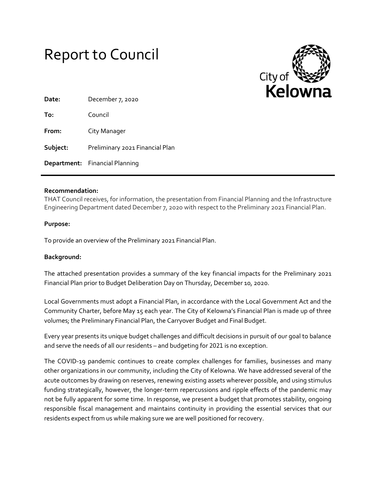



| Date:    | December 7, 2020                      |
|----------|---------------------------------------|
| To:      | Council                               |
| From:    | City Manager                          |
| Subject: | Preliminary 2021 Financial Plan       |
|          | <b>Department:</b> Financial Planning |

## **Recommendation:**

THAT Council receives, for information, the presentation from Financial Planning and the Infrastructure Engineering Department dated December 7, 2020 with respect to the Preliminary 2021 Financial Plan.

## **Purpose:**

To provide an overview of the Preliminary 2021 Financial Plan.

## **Background:**

The attached presentation provides a summary of the key financial impacts for the Preliminary 2021 Financial Plan prior to Budget Deliberation Day on Thursday, December 10, 2020.

Local Governments must adopt a Financial Plan, in accordance with the Local Government Act and the Community Charter, before May 15 each year. The City of Kelowna's Financial Plan is made up of three volumes; the Preliminary Financial Plan, the Carryover Budget and Final Budget.

Every year presents its unique budget challenges and difficult decisions in pursuit of our goal to balance and serve the needs of all our residents – and budgeting for 2021 is no exception.

The COVID-19 pandemic continues to create complex challenges for families, businesses and many other organizations in our community, including the City of Kelowna. We have addressed several of the acute outcomes by drawing on reserves, renewing existing assets wherever possible, and using stimulus funding strategically, however, the longer-term repercussions and ripple effects of the pandemic may not be fully apparent for some time. In response, we present a budget that promotes stability, ongoing responsible fiscal management and maintains continuity in providing the essential services that our residents expect from us while making sure we are well positioned for recovery.